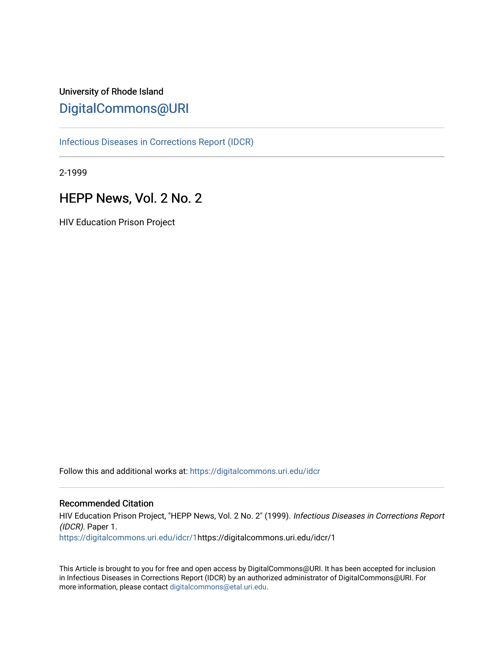### University of Rhode Island [DigitalCommons@URI](https://digitalcommons.uri.edu/)

[Infectious Diseases in Corrections Report \(IDCR\)](https://digitalcommons.uri.edu/idcr)

2-1999

### HEPP News, Vol. 2 No. 2

HIV Education Prison Project

Follow this and additional works at: [https://digitalcommons.uri.edu/idcr](https://digitalcommons.uri.edu/idcr?utm_source=digitalcommons.uri.edu%2Fidcr%2F1&utm_medium=PDF&utm_campaign=PDFCoverPages)

### Recommended Citation

HIV Education Prison Project, "HEPP News, Vol. 2 No. 2" (1999). Infectious Diseases in Corrections Report (IDCR). Paper 1. [https://digitalcommons.uri.edu/idcr/1](https://digitalcommons.uri.edu/idcr/1?utm_source=digitalcommons.uri.edu%2Fidcr%2F1&utm_medium=PDF&utm_campaign=PDFCoverPages)https://digitalcommons.uri.edu/idcr/1

This Article is brought to you for free and open access by DigitalCommons@URI. It has been accepted for inclusion in Infectious Diseases in Corrections Report (IDCR) by an authorized administrator of DigitalCommons@URI. For more information, please contact [digitalcommons@etal.uri.edu.](mailto:digitalcommons@etal.uri.edu)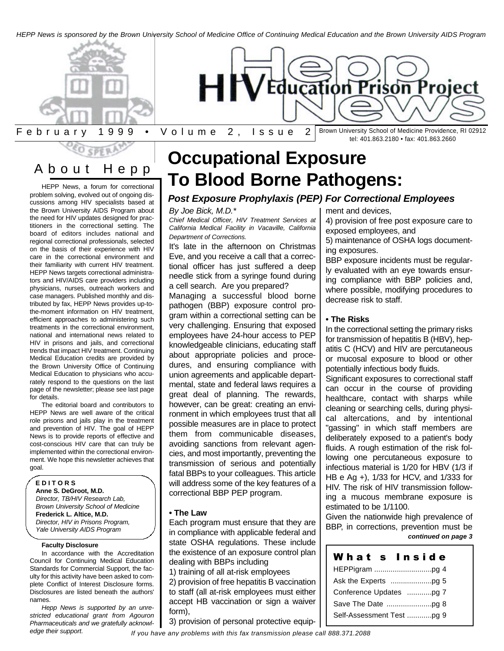*HEPP News is sponsored by the Brown University School of Medicine Office of Continuing Medical Education and the Brown University AIDS Program*





Brown University School of Medicine Providence, RI 02912 tel: 401.863.2180 • fax: 401.863.2660 February 1999 • Volume 2, Issue 2

# About Hep p

HEPP News, a forum for correctional problem solving, evolved out of ongoing discussions among HIV specialists based at the Brown University AIDS Program about the need for HIV updates designed for practitioners in the correctional setting. The board of editors includes national and regional correctional professionals, selected on the basis of their experience with HIV care in the correctional environment and their familiarity with current HIV treatment. HEPP News targets correctional administrators and HIV/AIDS care providers including physicians, nurses, outreach workers and case managers. Published monthly and distributed by fax, HEPP News provides up-tothe-moment information on HIV treatment, efficient approaches to administering such treatments in the correctional environment, national and international news related to HIV in prisons and jails, and correctional trends that impact HIV treatment. Continuing Medical Education credits are provided by the Brown University Office of Continuing Medical Education to physicians who accurately respond to the questions on the last page of the newsletter; please see last page for details.

The editorial board and contributors to HEPP News are well aware of the critical role prisons and jails play in the treatment and prevention of HIV. The goal of HEPP News is to provide reports of effective and cost-conscious HIV care that can truly be implemented within the correctional environment. We hope this newsletter achieves that goal.

**E D I T O R S Anne S. DeGroot, M.D.** *Director, TB/HIV Research Lab, Brown University School of Medicine* **Frederick L. Altice, M.D.** *Director, HIV in Prisons Program, Yale University AIDS Program*

#### **Faculty Disclosure**

In accordance with the Accreditation Council for Continuing Medical Education Standards for Commercial Support, the faculty for this activity have been asked to complete Conflict of Interest Disclosure forms. Disclosures are listed beneath the authors' names.

*Hepp News is supported by an unrestricted educational grant from Agouron Pharmaceuticals and we gratefully acknowledge their support.*

# **Occupational Exposure To Blood Borne Pathogens:**

### *Post Exposure Prophylaxis (PEP) For Correctional Employees*

#### *By Joe Bick, M.D.\**

*Chief Medical Officer, HIV Treatment Services at California Medical Facility in Vacaville, California Department of Corrections.*

It's late in the afternoon on Christmas Eve, and you receive a call that a correctional officer has just suffered a deep needle stick from a syringe found during a cell search. Are you prepared?

Managing a successful blood borne pathogen (BBP) exposure control program within a correctional setting can be very challenging. Ensuring that exposed employees have 24-hour access to PEP knowledgeable clinicians, educating staff about appropriate policies and procedures, and ensuring compliance with union agreements and applicable departmental, state and federal laws requires a great deal of planning. The rewards, however, can be great: creating an environment in which employees trust that all possible measures are in place to protect them from communicable diseases, avoiding sanctions from relevant agencies, and most importantly, preventing the transmission of serious and potentially fatal BBPs to your colleagues. This article will address some of the key features of a correctional BBP PEP program.

### **• The Law**

Each program must ensure that they are in compliance with applicable federal and state OSHA regulations. These include the existence of an exposure control plan dealing with BBPs including

1) training of all at-risk employees

2) provision of free hepatitis B vaccination to staff (all at-risk employees must either accept HB vaccination or sign a waiver form),

3) provision of personal protective equip-

*If you have any problems with this fax transmission please call 888.371.2088*

ment and devices,

4) provision of free post exposure care to exposed employees, and

5) maintenance of OSHA logs documenting exposures.

BBP exposure incidents must be regularly evaluated with an eye towards ensuring compliance with BBP policies and, where possible, modifying procedures to decrease risk to staff.

### **• The Risks**

In the correctional setting the primary risks for transmission of hepatitis B (HBV), hepatitis C (HCV) and HIV are percutaneous or mucosal exposure to blood or other potentially infectious body fluids.

Significant exposures to correctional staff can occur in the course of providing healthcare, contact with sharps while cleaning or searching cells, during physical altercations, and by intentional "gassing" in which staff members are deliberately exposed to a patient's body fluids. A rough estimation of the risk following one percutaneous exposure to infectious material is 1/20 for HBV (1/3 if HB e Ag +), 1/33 for HCV, and 1/333 for HIV. The risk of HIV transmission following a mucous membrane exposure is estimated to be 1/1100.

Given the nationwide high prevalence of BBP, in corrections, prevention must be *continued on page 3*

| What s Inside             |
|---------------------------|
|                           |
|                           |
| Conference Updates pg 7   |
|                           |
| Self-Assessment Test pg 9 |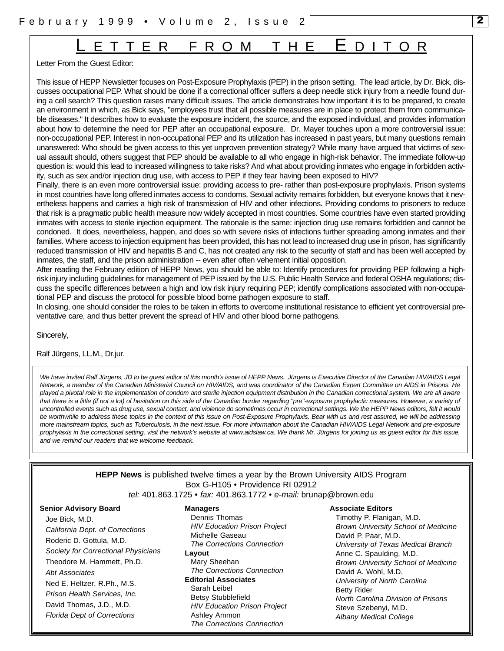# ETTER FROM THE EDITOR

Letter From the Guest Editor:

This issue of HEPP Newsletter focuses on Post-Exposure Prophylaxis (PEP) in the prison setting. The lead article, by Dr. Bick, discusses occupational PEP. What should be done if a correctional officer suffers a deep needle stick injury from a needle found during a cell search? This question raises many difficult issues. The article demonstrates how important it is to be prepared, to create an environment in which, as Bick says, "employees trust that all possible measures are in place to protect them from communicable diseases." It describes how to evaluate the exposure incident, the source, and the exposed individual, and provides information about how to determine the need for PEP after an occupational exposure. Dr. Mayer touches upon a more controversial issue: non-occupational PEP. Interest in non-occupational PEP and its utilization has increased in past years, but many questions remain unanswered: Who should be given access to this yet unproven prevention strategy? While many have argued that victims of sexual assault should, others suggest that PEP should be available to all who engage in high-risk behavior. The immediate follow-up question is: would this lead to increased willingness to take risks? And what about providing inmates who engage in forbidden activity, such as sex and/or injection drug use, with access to PEP if they fear having been exposed to HIV?

Finally, there is an even more controversial issue: providing access to pre- rather than post-exposure prophylaxis. Prison systems in most countries have long offered inmates access to condoms. Sexual activity remains forbidden, but everyone knows that it nevertheless happens and carries a high risk of transmission of HIV and other infections. Providing condoms to prisoners to reduce that risk is a pragmatic public health measure now widely accepted in most countries. Some countries have even started providing inmates with access to sterile injection equipment. The rationale is the same: injection drug use remains forbidden and cannot be condoned. It does, nevertheless, happen, and does so with severe risks of infections further spreading among inmates and their families. Where access to injection equipment has been provided, this has not lead to increased drug use in prison, has significantly reduced transmission of HIV and hepatitis B and C, has not created any risk to the security of staff and has been well accepted by inmates, the staff, and the prison administration -- even after often vehement initial opposition.

After reading the February edition of HEPP News, you should be able to: Identify procedures for providing PEP following a highrisk injury including guidelines for management of PEP issued by the U.S. Public Health Service and federal OSHA regulations; discuss the specific differences between a high and low risk injury requiring PEP; identify complications associated with non-occupational PEP and discuss the protocol for possible blood borne pathogen exposure to staff.

In closing, one should consider the roles to be taken in efforts to overcome institutional resistance to efficient yet controversial preventative care, and thus better prevent the spread of HIV and other blood borne pathogens.

Sincerely,

Ralf Jürgens, LL.M., Dr.jur.

*We have invited Ralf Jürgens, JD to be guest editor of this month's issue of HEPP News. Jürgens is Executive Director of the Canadian HIV/AIDS Legal Network, a member of the Canadian Ministerial Council on HIV/AIDS, and was coordinator of the Canadian Expert Committee on AIDS in Prisons. He played a pivotal role in the implementation of condom and sterile injection equipment distribution in the Canadian correctional system. We are all aware that there is a little (if not a lot) of hesitation on this side of the Canadian border regarding "pre"-exposure prophylactic measures. However, a variety of uncontrolled events such as drug use, sexual contact, and violence do sometimes occur in correctional settings. We the HEPP News editors, felt it would be worthwhile to address these topics in the context of this issue on Post-Exposure Prophylaxis. Bear with us and rest assured, we will be addressing more mainstream topics, such as Tuberculosis, in the next issue. For more information about the Canadian HIV/AIDS Legal Network and pre-exposure prophylaxis in the correctional setting, visit the network's website at www.aidslaw.ca. We thank Mr. Jürgens for joining us as guest editor for this issue, and we remind our readers that we welcome feedback.*

### **HEPP News** is published twelve times a year by the Brown University AIDS Program Box G-H105 • Providence RI 02912

*tel:* 401.863.1725 • *fax:* 401.863.1772 • *e-mail:* brunap@brown.edu

**Senior Advisory Board** Joe Bick, M.D. *California Dept. of Corrections* Roderic D. Gottula, M.D. *Society for Correctional Physicians* Theodore M. Hammett, Ph.D. *Abt Associates* Ned E. Heltzer, R.Ph., M.S. *Prison Health Services, Inc.* David Thomas, J.D., M.D. *Florida Dept of Corrections*

**Managers** Dennis Thomas *HIV Education Prison Project* Michelle Gaseau *The Corrections Connection* **Layout**  Mary Sheehan *The Corrections Connection* **Editorial Associates** Sarah Leibel Betsy Stubblefield *HIV Education Prison Project* Ashley Ammon *The Corrections Connection*

### **Associate Editors**

Timothy P. Flanigan, M.D. *Brown University School of Medicine* David P. Paar, M.D. *University of Texas Medical Branch* Anne C. Spaulding, M.D. *Brown University School of Medicine* David A. Wohl, M.D. *University of North Carolina* Betty Rider *North Carolina Division of Prisons* Steve Szebenyi, M.D. *Albany Medical College*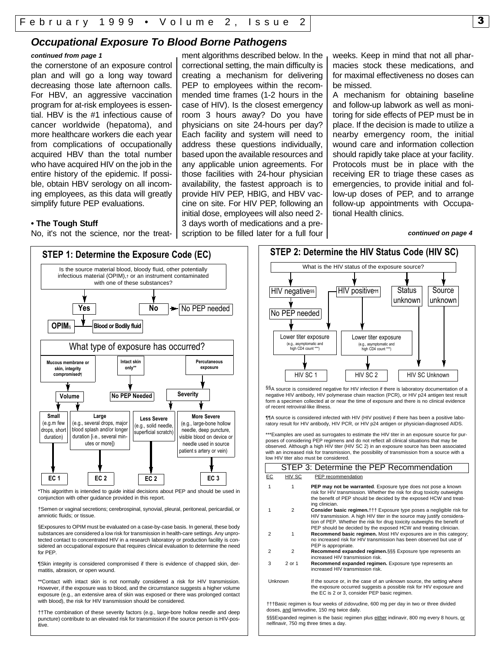### *Occupational Exposure To Blood Borne Pathogens*

#### *continued from page 1*

the cornerstone of an exposure control plan and will go a long way toward decreasing those late afternoon calls. For HBV, an aggressive vaccination program for at-risk employees is essential. HBV is the #1 infectious cause of cancer worldwide (hepatoma), and more healthcare workers die each year from complications of occupationally acquired HBV than the total number who have acquired HIV on the job in the entire history of the epidemic. If possible, obtain HBV serology on all incoming employees, as this data will greatly simplify future PEP evaluations.

### **• The Tough Stuff**

No, it's not the science, nor the treat-

ment algorithms described below. In the correctional setting, the main difficulty is creating a mechanism for delivering PEP to employees within the recommended time frames (1-2 hours in the case of HIV). Is the closest emergency room 3 hours away? Do you have physicians on site 24-hours per day? Each facility and system will need to address these questions individually, based upon the available resources and any applicable union agreements. For those facilities with 24-hour physician availability, the fastest approach is to provide HIV PEP, HBIG, and HBV vaccine on site. For HIV PEP, following an initial dose, employees will also need 2- 3 days worth of medications and a prescription to be filled later for a full four

weeks. Keep in mind that not all pharmacies stock these medications, and for maximal effectiveness no doses can be missed.

A mechanism for obtaining baseline and follow-up labwork as well as monitoring for side effects of PEP must be in place. If the decision is made to utilize a nearby emergency room, the initial wound care and information collection should rapidly take place at your facility. Protocols must be in place with the receiving ER to triage these cases as emergencies, to provide initial and follow-up doses of PEP, and to arrange follow-up appointments with Occupational Health clinics.

#### *continued on page 4*



conjunction with other guidance provided in this report.

†Semen or vaginal secretions; cerebrospinal, synovial, pleural, peritoneal, pericardial, or amniotic fluids; or tissue.

§Exposures to OPIM must be evaluated on a case-by-case basis. In general, these body substances are considered a low risk for transmission in health-care settings. Any unprotected contact to concentrated HIV in a research laboratory or production facility is considered an occupational exposure that requires clinical evaluation to determine the need for PEP.

¶Skin integrity is considered compromised if there is evidence of chapped skin, dermatitis, abrasion, or open wound.

\*\*Contact with intact skin is not normally considered a risk for HIV transmission. However, if the exposure was to blood, and the circumstance suggests a higher volume exposure (e.g., an extensive area of skin was exposed or there was prolonged contact with blood), the risk for HIV transmission should be considered.

††The combination of these severity factors (e.g., large-bore hollow needle and deep puncture) contribute to an elevated risk for transmission if the source person is HIV-positive.



§§A source is considered negative for HIV infection if there is laboratory documentation of a negative HIV antibody, HIV polymerase chain reaction (PCR), or HIV p24 antigen test result form a specimen collected at or near the time of exposure and there is no clinical evidence of recent retroviral-like illness.

¶¶A source is considered infected with HIV (HIV positive) if there has been a positive laboratory result for HIV antibody, HIV PCR, or HIV p24 antigen or physician-diagnosed AIDS.

\*Examples are used as surrogates to estimate the HIV titer in an exposure source for purposes of considering PEP regimens and do not reflect all clinical situations that may be observed. Although a high HIV titer (HIV SC 2) in an exposure source has been associated with an increased risk for transmission, the possibility of transmission from a source with a low HIV titer also must be considered.

|                                                                                                                                    |                | STEP 3: Determine the PEP Recommendation                                                                                                                                                                                                                                                                |  |  |
|------------------------------------------------------------------------------------------------------------------------------------|----------------|---------------------------------------------------------------------------------------------------------------------------------------------------------------------------------------------------------------------------------------------------------------------------------------------------------|--|--|
| EC                                                                                                                                 | <b>HIV SC</b>  | PEP recommendation                                                                                                                                                                                                                                                                                      |  |  |
| 1                                                                                                                                  | 1              | <b>PEP may not be warranted.</b> Exposure type does not pose a known<br>risk for HIV transmission. Whether the risk for drug toxicity outweighs<br>the benefit of PEP should be decided by the exposed HCW and treat-<br>ing clinician.                                                                 |  |  |
| 1                                                                                                                                  | 2              | <b>Consider basic regimen.</b> † † Exposure type poses a negligible risk for<br>HIV transmission. A high HIV titer in the source may justify considera-<br>tion of PEP. Whether the risk for drug toxicity outweighs the benefit of<br>PEP should be decided by the exposed HCW and treating clinician. |  |  |
| $\overline{2}$                                                                                                                     | 1              | Recommend basic regimen. Most HIV exposures are in this category;<br>no increased risk for HIV transmission has been observed but use of<br>PEP is appropriate.                                                                                                                                         |  |  |
| $\overline{2}$                                                                                                                     | $\overline{2}$ | Recommend expanded regimen. §§§ Exposure type represents an<br>increased HIV transmission risk.                                                                                                                                                                                                         |  |  |
| 3                                                                                                                                  | 2 or 1         | Recommend expanded regimen. Exposure type represents an<br>increased HIV transmission risk.                                                                                                                                                                                                             |  |  |
| Unknown                                                                                                                            |                | If the source or, in the case of an unknown source, the setting where<br>the exposure occurred suggests a possible risk for HIV exposure and<br>the EC is 2 or 3, consider PEP basic regimen.                                                                                                           |  |  |
| †††Basic regimen is four weeks of zidovudine, 600 mg per day in two or three divided<br>doses, and lamivudine, 150 mg twice daily. |                |                                                                                                                                                                                                                                                                                                         |  |  |

§§§Expanded regimen is the basic regimen plus either indinavir, 800 mg every 8 hours, or nelfinavir, 750 mg three times a day.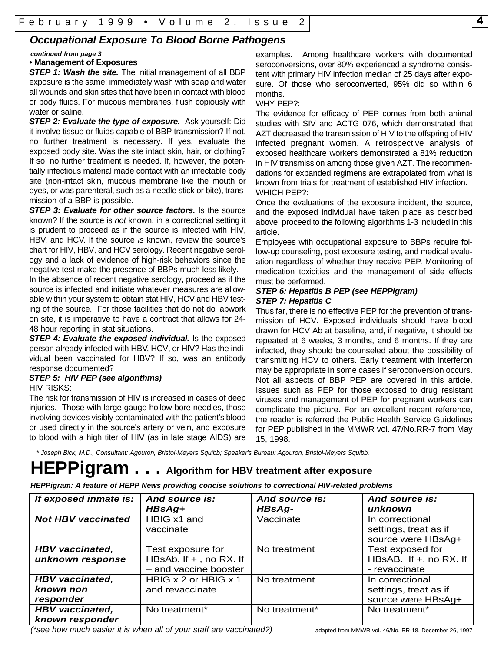### *Occupational Exposure To Blood Borne Pathogens*

### *continued from page 3*

### **• Management of Exposures**

*STEP 1: Wash the site.* The initial management of all BBP exposure is the same: immediately wash with soap and water all wounds and skin sites that have been in contact with blood or body fluids. For mucous membranes, flush copiously with water or saline.

*STEP 2: Evaluate the type of exposure.* Ask yourself: Did it involve tissue or fluids capable of BBP transmission? If not, no further treatment is necessary. If yes, evaluate the exposed body site. Was the site intact skin, hair, or clothing? If so, no further treatment is needed. If, however, the potentially infectious material made contact with an infectable body site (non-intact skin, mucous membrane like the mouth or eyes, or was parenteral, such as a needle stick or bite), transmission of a BBP is possible.

*STEP 3: Evaluate for other source factors.* Is the source known? If the source is *not* known, in a correctional setting it is prudent to proceed as if the source is infected with HIV, HBV, and HCV. If the source *is* known, review the source's chart for HIV, HBV, and HCV serology. Recent negative serology and a lack of evidence of high-risk behaviors since the negative test make the presence of BBPs much less likely.

In the absence of recent negative serology, proceed as if the source is infected and initiate whatever measures are allowable within your system to obtain stat HIV, HCV and HBV testing of the source. For those facilities that do not do labwork on site, it is imperative to have a contract that allows for 24- 48 hour reporting in stat situations.

*STEP 4: Evaluate the exposed individual.* Is the exposed person already infected with HBV, HCV, or HIV? Has the individual been vaccinated for HBV? If so, was an antibody response documented?

### *STEP 5: HIV PEP (see algorithms)* HIV RISKS:

The risk for transmission of HIV is increased in cases of deep injuries. Those with large gauge hollow bore needles, those involving devices visibly contaminated with the patient's blood or used directly in the source's artery or vein, and exposure to blood with a high titer of HIV (as in late stage AIDS) are

examples. Among healthcare workers with documented seroconversions, over 80% experienced a syndrome consistent with primary HIV infection median of 25 days after exposure. Of those who seroconverted, 95% did so within 6 months.

### WHY PEP?:

The evidence for efficacy of PEP comes from both animal studies with SIV and ACTG 076, which demonstrated that AZT decreased the transmission of HIV to the offspring of HIV infected pregnant women. A retrospective analysis of exposed healthcare workers demonstrated a 81% reduction in HIV transmission among those given AZT. The recommendations for expanded regimens are extrapolated from what is known from trials for treatment of established HIV infection. WHICH PEP?:

Once the evaluations of the exposure incident, the source, and the exposed individual have taken place as described above, proceed to the following algorithms 1-3 included in this article.

Employees with occupational exposure to BBPs require follow-up counseling, post exposure testing, and medical evaluation regardless of whether they receive PEP. Monitoring of medication toxicities and the management of side effects must be performed.

### *STEP 6: Hepatitis B PEP (see HEPPigram) STEP 7: Hepatitis C*

Thus far, there is no effective PEP for the prevention of transmission of HCV. Exposed individuals should have blood drawn for HCV Ab at baseline, and, if negative, it should be repeated at 6 weeks, 3 months, and 6 months. If they are infected, they should be counseled about the possibility of transmitting HCV to others. Early treatment with Interferon may be appropriate in some cases if seroconversion occurs. Not all aspects of BBP PEP are covered in this article. Issues such as PEP for those exposed to drug resistant viruses and management of PEP for pregnant workers can complicate the picture. For an excellent recent reference, the reader is referred the Public Health Service Guidelines for PEP published in the MMWR vol. 47/No.RR-7 from May 15, 1998.

*\* Joseph Bick, M.D., Consultant: Agouron, Bristol-Meyers Squibb; Speaker's Bureau: Agouron, Bristol-Meyers Squibb.*

# **HEPPigram . . . Algorithm for HBV treatment after exposure**

*HEPPigram: A feature of HEPP News providing concise solutions to correctional HIV-related problems*

| If exposed inmate is:                            | And source is:<br>$HBSAg+$                                              | And source is:<br>HBsAg- | And source is:<br>unknown                                      |
|--------------------------------------------------|-------------------------------------------------------------------------|--------------------------|----------------------------------------------------------------|
| <b>Not HBV vaccinated</b>                        | HBIG x1 and<br>vaccinate                                                | Vaccinate                | In correctional<br>settings, treat as if<br>source were HBsAg+ |
| <b>HBV</b> vaccinated,<br>unknown response       | Test exposure for<br>HBsAb. If $+$ , no RX. If<br>- and vaccine booster | No treatment             | Test exposed for<br>HBsAB. If +, no RX. If<br>- revaccinate    |
| <b>HBV</b> vaccinated,<br>known non<br>responder | HBIG x 2 or HBIG x 1<br>and revaccinate                                 | No treatment             | In correctional<br>settings, treat as if<br>source were HBsAg+ |
| <b>HBV</b> vaccinated,<br>known responder        | No treatment*                                                           | No treatment*            | No treatment*                                                  |

*(\*see how much easier it is when all of your staff are vaccinated?)* adapted from MMWR vol. 46/No. RR-18, December 26, 1997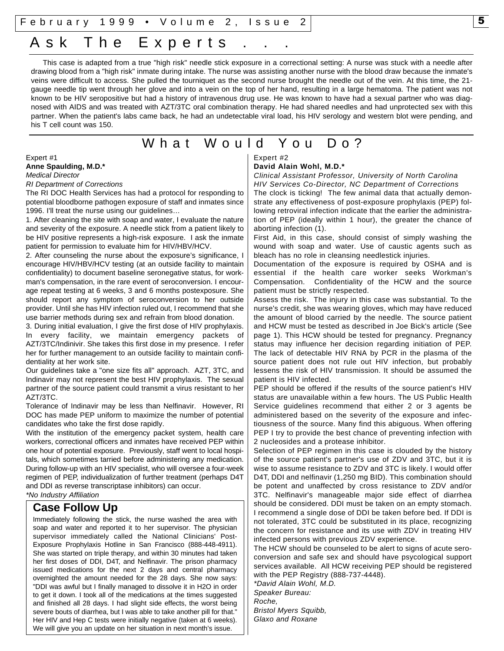## Ask The Experts

This case is adapted from a true "high risk" needle stick exposure in a correctional setting: A nurse was stuck with a needle after drawing blood from a "high risk" inmate during intake. The nurse was assisting another nurse with the blood draw because the inmate's veins were difficult to access. She pulled the tourniquet as the second nurse brought the needle out of the vein. At this time, the 21 gauge needle tip went through her glove and into a vein on the top of her hand, resulting in a large hematoma. The patient was not known to be HIV seropositive but had a history of intravenous drug use. He was known to have had a sexual partner who was diagnosed with AIDS and was treated with AZT/3TC oral combination therapy. He had shared needles and had unprotected sex with this partner. When the patient's labs came back, he had an undetectable viral load, his HIV serology and western blot were pending, and his T cell count was 150.

## What Would You Do?

### Expert #1

### **Anne Spaulding, M.D.\***

*Medical Director*

### *RI Department of Corrections*

The RI DOC Health Services has had a protocol for responding to potential bloodborne pathogen exposure of staff and inmates since 1996. I'll treat the nurse using our guidelines…

1. After cleaning the site with soap and water, I evaluate the nature and severity of the exposure. A needle stick from a patient likely to be HIV positive represents a high-risk exposure. I ask the inmate patient for permission to evaluate him for HIV/HBV/HCV.

2. After counseling the nurse about the exposure's significance, I encourage HIV/HBV/HCV testing (at an outside facility to maintain confidentiality) to document baseline seronegative status, for workman's compensation, in the rare event of seroconversion. I encourage repeat testing at 6 weeks, 3 and 6 months postexposure. She should report any symptom of seroconversion to her outside provider. Until she has HIV infection ruled out, I recommend that she use barrier methods during sex and refrain from blood donation.

3. During initial evaluation, I give the first dose of HIV prophylaxis. In every facility, we maintain emergency packets of AZT/3TC/Indinivir. She takes this first dose in my presence. I refer her for further management to an outside facility to maintain confidentiality at her work site.

Our guidelines take a "one size fits all" approach. AZT, 3TC, and Indinavir may not represent the best HIV prophylaxis. The sexual partner of the source patient could transmit a virus resistant to her AZT/3TC.

Tolerance of Indinavir may be less than Nelfinavir. However, RI DOC has made PEP uniform to maximize the number of potential candidates who take the first dose rapidly.

With the institution of the emergency packet system, health care workers, correctional officers and inmates have received PEP within one hour of potential exposure. Previously, staff went to local hospitals, which sometimes tarried before administering any medication. During follow-up with an HIV specialist, who will oversee a four-week regimen of PEP, individualization of further treatment (perhaps D4T and DDI as reverse transcriptase inhibitors) can occur. *\*No Industry Affiliation*

### **Case Follow Up**

Immediately following the stick, the nurse washed the area with soap and water and reported it to her supervisor. The physician supervisor immediately called the National Clinicians' Post-Exposure Prophylaxis Hotline in San Francisco (888-448-4911). She was started on triple therapy, and within 30 minutes had taken her first doses of DDI, D4T, and Nelfinavir. The prison pharmacy issued medications for the next 2 days and central pharmacy overnighted the amount needed for the 28 days. She now says: "DDI was awful but I finally managed to dissolve it in H2O in order to get it down. I took all of the medications at the times suggested and finished all 28 days. I had slight side effects, the worst being severe bouts of diarrhea, but I was able to take another pill for that." Her HIV and Hep C tests were initially negative (taken at 6 weeks). We will give you an update on her situation in next month's issue.

### Expert #2

### **David Alain Wohl, M.D.\***

*Clinical Assistant Professor, University of North Carolina HIV Services Co-Director, NC Department of Corrections*

The clock is ticking! The few animal data that actually demonstrate any effectiveness of post-exposure prophylaxis (PEP) following retroviral infection indicate that the earlier the administration of PEP (ideally within 1 hour), the greater the chance of aborting infection (1).

First Aid, in this case, should consist of simply washing the wound with soap and water. Use of caustic agents such as bleach has no role in cleansing needlestick injuries.

Documentation of the exposure is required by OSHA and is essential if the health care worker seeks Workman's Compensation. Confidentiality of the HCW and the source patient must be strictly respected.

Assess the risk. The injury in this case was substantial. To the nurse's credit, she was wearing gloves, which may have reduced the amount of blood carried by the needle. The source patient and HCW must be tested as described in Joe Bick's article (See page 1). This HCW should be tested for pregnancy. Pregnancy status may influence her decision regarding initiation of PEP. The lack of detectable HIV RNA by PCR in the plasma of the source patient does not rule out HIV infection, but probably lessens the risk of HIV transmission. It should be assumed the patient is HIV infected.

PEP should be offered if the results of the source patient's HIV status are unavailable within a few hours. The US Public Health Service guidelines recommend that either 2 or 3 agents be administered based on the severity of the exposure and infectiousness of the source. Many find this abiguous. When offering PEP I try to provide the best chance of preventing infection with 2 nucleosides and a protease inhibitor.

Selection of PEP regimen in this case is clouded by the history of the source patient's partner's use of ZDV and 3TC, but it is wise to assume resistance to ZDV and 3TC is likely. I would offer D4T, DDI and nelfinavir (1,250 mg BID). This combination should be potent and unaffected by cross resistance to ZDV and/or 3TC. Nelfinavir's manageable major side effect of diarrhea should be considered. DDI must be taken on an empty stomach. I recommend a single dose of DDI be taken before bed. If DDI is not tolerated, 3TC could be substituted in its place, recognizing the concern for resistance and its use with ZDV in treating HIV infected persons with previous ZDV experience.

The HCW should be counseled to be alert to signs of acute seroconversion and safe sex and should have psycological support services available. All HCW receiving PEP should be registered with the PEP Registry (888-737-4448).

*\*David Alain Wohl, M.D. Speaker Bureau: Roche, Bristol Myers Squibb, Glaxo and Roxane*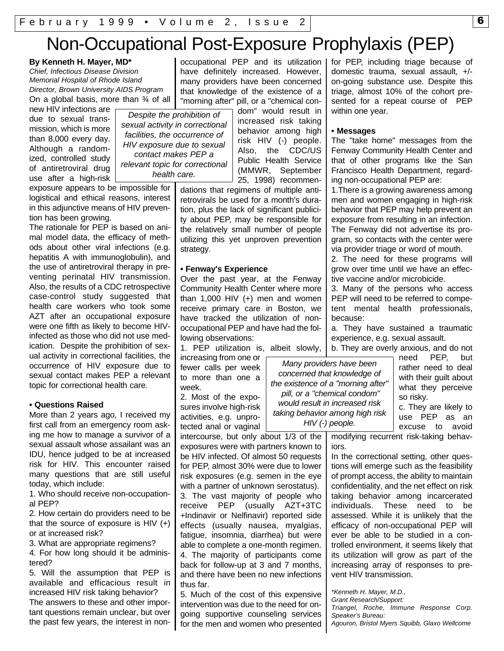# Non-Occupational Post-Exposure Prophylaxis (PEP)

#### **By Kenneth H. Mayer, MD\***

*Chief, Infectious Disease Division Memorial Hospital of Rhode Island Director, Brown University AIDS Program* On a global basis, more than  $\frac{3}{4}$  of all

new HIV infections are due to sexual transmission, which is more than 8,000 every day. Although a randomized, controlled study of antiretroviral drug use after a high-risk

exposure appears to be impossible for logistical and ethical reasons, interest in this adjunctive means of HIV prevention has been growing.

The rationale for PEP is based on animal model data, the efficacy of methods about other viral infections (e.g. hepatitis A with immunoglobulin), and the use of antiretroviral therapy in preventing perinatal HIV transmission. Also, the results of a CDC retrospective case-control study suggested that health care workers who took some AZT after an occupational exposure were one fifth as likely to become HIVinfected as those who did not use medication. Despite the prohibition of sexual activity in correctional facilities, the occurrence of HIV exposure due to sexual contact makes PEP a relevant topic for correctional health care.

### **• Questions Raised**

More than 2 years ago, I received my first call from an emergency room asking me how to manage a survivor of a sexual assault whose assailant was an IDU, hence judged to be at increased risk for HIV. This encounter raised many questions that are still useful today, which include:

1. Who should receive non-occupational PEP?

2. How certain do providers need to be that the source of exposure is  $HIV (+)$ or at increased risk?

3. What are appropriate regimens?

4. For how long should it be administered?

5. Will the assumption that PEP is available and efficacious result in increased HIV risk taking behavior?

The answers to these and other important questions remain unclear, but over the past few years, the interest in nonoccupational PEP and its utilization have definitely increased. However, many providers have been concerned that knowledge of the existence of a "morning after" pill, or a "chemical con-

> dom" would result in increased risk taking behavior among high risk HIV (-) people. Also, the CDC/US Public Health Service (MMWR, September 25, 1998) recommen-

dations that regimens of multiple antiretrovirals be used for a month's duration, plus the lack of significant publicity about PEP, may be responsible for the relatively small number of people utilizing this yet unproven prevention strategy.

#### **• Fenway's Experience**

Over the past year, at the Fenway Community Health Center where more than  $1,000$  HIV  $(+)$  men and women receive primary care in Boston, we have tracked the utilization of nonoccupational PEP and have had the following observations:

1. PEP utilization is, albeit slowly,

increasing from one or fewer calls per week to more than one a week.

2. Most of the exposures involve high-risk activities, e.g. unprotected anal or vaginal

intercourse, but only about 1/3 of the exposures were with partners known to be HIV infected. Of almost 50 requests for PEP, almost 30% were due to lower risk exposures (e.g. semen in the eye with a partner of unknown serostatus). 3. The vast majority of people who receive PEP (usually AZT+3TC +Indinavir or Nelfinavir) reported side effects (usually nausea, myalgias, fatigue, insomnia, diarrhea) but were able to complete a one-month regimen. 4. The majority of participants come back for follow-up at 3 and 7 months, and there have been no new infections thus far.

5. Much of the cost of this expensive intervention was due to the need for ongoing supportive counseling services for the men and women who presented for PEP, including triage because of domestic trauma, sexual assault, +/ on-going substance use. Despite this triage, almost 10% of the cohort presented for a repeat course of PEP within one year.

### **• Messages**

The "take home" messages from the Fenway Community Health Center and that of other programs like the San Francisco Health Department, regarding non-occupational PEP are:

1.There is a growing awareness among men and women engaging in high-risk behavior that PEP may help prevent an exposure from resulting in an infection. The Fenway did not advertise its program, so contacts with the center were via provider triage or word of mouth.

2. The need for these programs will grow over time until we have an effective vaccine and/or microbicide.

3. Many of the persons who access PEP will need to be referred to competent mental health professionals, because:

a. They have sustained a traumatic experience, e.g. sexual assault.

b. They are overly anxious, and do not need PEP, but rather need to deal with their quilt about what they perceive so risky.

> c. They are likely to use PEP as an excuse to avoid

modifying recurrent risk-taking behaviors.

In the correctional setting, other questions will emerge such as the feasibility of prompt access, the ability to maintain confidentiality, and the net effect on risk taking behavior among incarcerated individuals. These need to be assessed. While it is unlikely that the efficacy of non-occupational PEP will ever be able to be studied in a controlled environment, it seems likely that its utilization will grow as part of the increasing array of responses to prevent HIV transmission.

*\*Kenneth H. Mayer, M.D., Grant Research/Support: Triangel, Roche, Immune Response Corp. Speaker's Bureau: Agouron, Bristol Myers Squibb, Glaxo Wellcome*

*Many providers have been concerned that knowledge of the existence of a "morning after" pill, or a "chemical condom" would result in increased risk taking behavior among high risk HIV (-) people.*

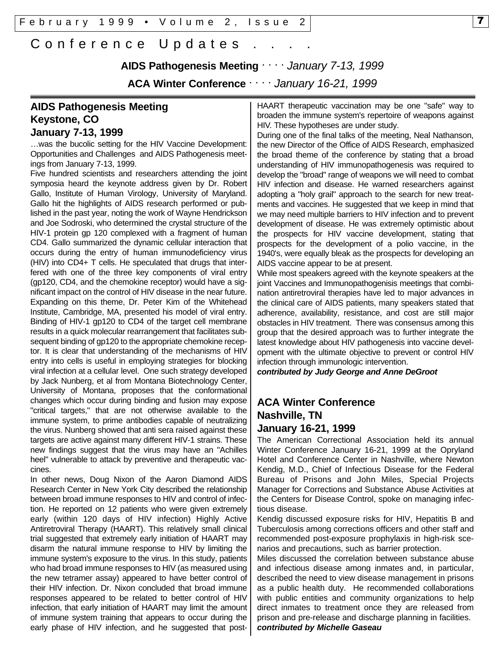Conference Updates

**AIDS Pathogenesis Meeting** . . . . *January 7-13, 1999*

**ACA Winter Conference** . . . . *January 16-21, 1999*

### **AIDS Pathogenesis Meeting Keystone, CO January 7-13, 1999**

…was the bucolic setting for the HIV Vaccine Development: Opportunities and Challenges and AIDS Pathogenesis meetings from January 7-13, 1999.

Five hundred scientists and researchers attending the joint symposia heard the keynote address given by Dr. Robert Gallo, Institute of Human Virology, University of Maryland. Gallo hit the highlights of AIDS research performed or published in the past year, noting the work of Wayne Hendrickson and Joe Sodroski, who determined the crystal structure of the HIV-1 protein gp 120 complexed with a fragment of human CD4. Gallo summarized the dynamic cellular interaction that occurs during the entry of human immunodeficiency virus (HIV) into CD4+ T cells. He speculated that drugs that interfered with one of the three key components of viral entry (gp120, CD4, and the chemokine receptor) would have a significant impact on the control of HIV disease in the near future. Expanding on this theme, Dr. Peter Kim of the Whitehead Institute, Cambridge, MA, presented his model of viral entry. Binding of HIV-1 gp120 to CD4 of the target cell membrane results in a quick molecular rearrangement that facilitates subsequent binding of gp120 to the appropriate chemokine receptor. It is clear that understanding of the mechanisms of HIV entry into cells is useful in employing strategies for blocking viral infection at a cellular level. One such strategy developed by Jack Nunberg, et al from Montana Biotechnology Center, University of Montana, proposes that the conformational changes which occur during binding and fusion may expose "critical targets," that are not otherwise available to the immune system, to prime antibodies capable of neutralizing the virus. Nunberg showed that anti sera raised against these targets are active against many different HIV-1 strains. These new findings suggest that the virus may have an "Achilles heel" vulnerable to attack by preventive and therapeutic vaccines.

In other news, Doug Nixon of the Aaron Diamond AIDS Research Center in New York City described the relationship between broad immune responses to HIV and control of infection. He reported on 12 patients who were given extremely early (within 120 days of HIV infection) Highly Active Antiretroviral Therapy (HAART). This relatively small clinical trial suggested that extremely early initiation of HAART may disarm the natural immune response to HIV by limiting the immune system's exposure to the virus. In this study, patients who had broad immune responses to HIV (as measured using the new tetramer assay) appeared to have better control of their HIV infection. Dr. Nixon concluded that broad immune responses appeared to be related to better control of HIV infection, that early initiation of HAART may limit the amount of immune system training that appears to occur during the early phase of HIV infection, and he suggested that postHAART therapeutic vaccination may be one "safe" way to broaden the immune system's repertoire of weapons against HIV. These hypotheses are under study.

During one of the final talks of the meeting, Neal Nathanson, the new Director of the Office of AIDS Research, emphasized the broad theme of the conference by stating that a broad understanding of HIV immunopathogenesis was required to develop the "broad" range of weapons we will need to combat HIV infection and disease. He warned researchers against adopting a "holy grail" approach to the search for new treatments and vaccines. He suggested that we keep in mind that we may need multiple barriers to HIV infection and to prevent development of disease. He was extremely optimistic about the prospects for HIV vaccine development, stating that prospects for the development of a polio vaccine, in the 1940's, were equally bleak as the prospects for developing an AIDS vaccine appear to be at present.

While most speakers agreed with the keynote speakers at the joint Vaccines and Immunopathogenisis meetings that combination antiretroviral therapies have led to major advances in the clinical care of AIDS patients, many speakers stated that adherence, availability, resistance, and cost are still major obstacles in HIV treatment. There was consensus among this group that the desired approach was to further integrate the latest knowledge about HIV pathogenesis into vaccine development with the ultimate objective to prevent or control HIV infection through immunologic intervention.

*contributed by Judy George and Anne DeGroot*

### **ACA Winter Conference Nashville, TN January 16-21, 1999**

The American Correctional Association held its annual Winter Conference January 16-21, 1999 at the Opryland Hotel and Conference Center in Nashville, where Newton Kendig, M.D., Chief of Infectious Disease for the Federal Bureau of Prisons and John Miles, Special Projects Manager for Corrections and Substance Abuse Activities at the Centers for Disease Control, spoke on managing infectious disease.

Kendig discussed exposure risks for HIV, Hepatitis B and Tuberculosis among corrections officers and other staff and recommended post-exposure prophylaxis in high-risk scenarios and precautions, such as barrier protection.

Miles discussed the correlation between substance abuse and infectious disease among inmates and, in particular, described the need to view disease management in prisons as a public health duty. He recommended collaborations with public entities and community organizations to help direct inmates to treatment once they are released from prison and pre-release and discharge planning in facilities. *contributed by Michelle Gaseau*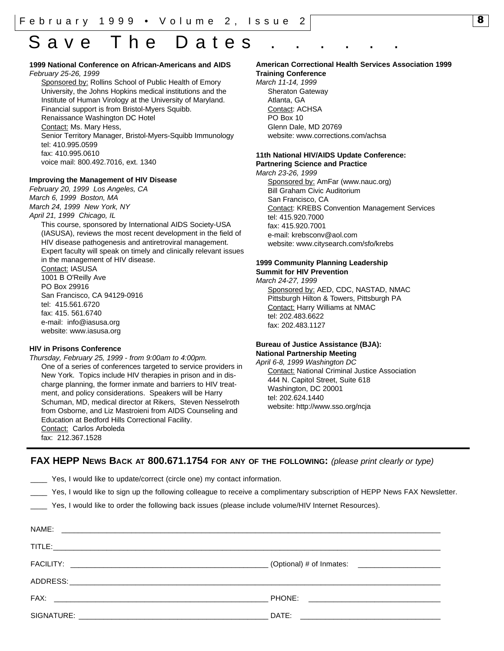# ave The Dates

### **1999 National Conference on African-Americans and AIDS**

*February 25-26, 1999* Sponsored by: Rollins School of Public Health of Emory University, the Johns Hopkins medical institutions and the Institute of Human Virology at the University of Maryland. Financial support is from Bristol-Myers Squibb. Renaissance Washington DC Hotel Contact: Ms. Mary Hess, Senior Territory Manager, Bristol-Myers-Squibb Immunology tel: 410.995.0599 fax: 410.995.0610 voice mail: 800.492.7016, ext. 1340

### **Improving the Management of HIV Disease**

*February 20, 1999 Los Angeles, CA March 6, 1999 Boston, MA March 24, 1999 New York, NY April 21, 1999 Chicago, IL* This course, sponsored by International AIDS Society-USA (IASUSA), reviews the most recent development in the field of HIV disease pathogenesis and antiretroviral management. Expert faculty will speak on timely and clinically relevant issues in the management of HIV disease. Contact: IASUSA 1001 B O'Reilly Ave PO Box 29916 San Francisco, CA 94129-0916 tel: 415.561.6720 fax: 415. 561.6740 e-mail: info@iasusa.org website: www.iasusa.org

#### **HIV in Prisons Conference**

*Thursday, February 25, 1999* - *from 9:00am to 4:00pm.* One of a series of conferences targeted to service providers in New York. Topics include HIV therapies in prison and in discharge planning, the former inmate and barriers to HIV treatment, and policy considerations. Speakers will be Harry Schuman, MD, medical director at Rikers, Steven Nesselroth from Osborne, and Liz Mastroieni from AIDS Counseling and Education at Bedford Hills Correctional Facility. Contact: Carlos Arboleda fax: 212.367.1528

#### **American Correctional Health Services Association 1999 Training Conference**

*March 11-14, 1999* Sheraton Gateway Atlanta, GA Contact: ACHSA PO Box 10 Glenn Dale, MD 20769 website: www.corrections.com/achsa

### **11th National HIV/AIDS Update Conference: Partnering Science and Practice**

*March 23-26, 1999* Sponsored by: AmFar (www.nauc.org) Bill Graham Civic Auditorium San Francisco, CA Contact: KREBS Convention Management Services tel: 415.920.7000 fax: 415.920.7001 e-mail: krebsconv@aol.com website: www.citysearch.com/sfo/krebs

#### **1999 Community Planning Leadership Summit for HIV Prevention**

#### *March 24-27, 1999*

Sponsored by: AED, CDC, NASTAD, NMAC Pittsburgh Hilton & Towers, Pittsburgh PA Contact: Harry Williams at NMAC tel: 202.483.6622 fax: 202.483.1127

#### **Bureau of Justice Assistance (BJA): National Partnership Meeting**

### *April 6-8, 1999 Washington DC*

Contact: National Criminal Justice Association 444 N. Capitol Street, Suite 618 Washington, DC 20001 tel: 202.624.1440 website: http://www.sso.org/ncja

### **FAX HEPP NEWS BACK AT 800.671.1754 FOR ANY OF THE FOLLOWING:** *(please print clearly or type)*

|  |  |  | Yes, I would like to update/correct (circle one) my contact information. |
|--|--|--|--------------------------------------------------------------------------|

- Yes, I would like to sign up the following colleague to receive a complimentary subscription of HEPP News FAX Newsletter.
- Yes, I would like to order the following back issues (please include volume/HIV Internet Resources).

| NAME: |                                                        |
|-------|--------------------------------------------------------|
|       |                                                        |
|       |                                                        |
|       |                                                        |
|       |                                                        |
|       | DATF:<br><u> 1980 - Andrea Andrew Maria (h. 1980).</u> |